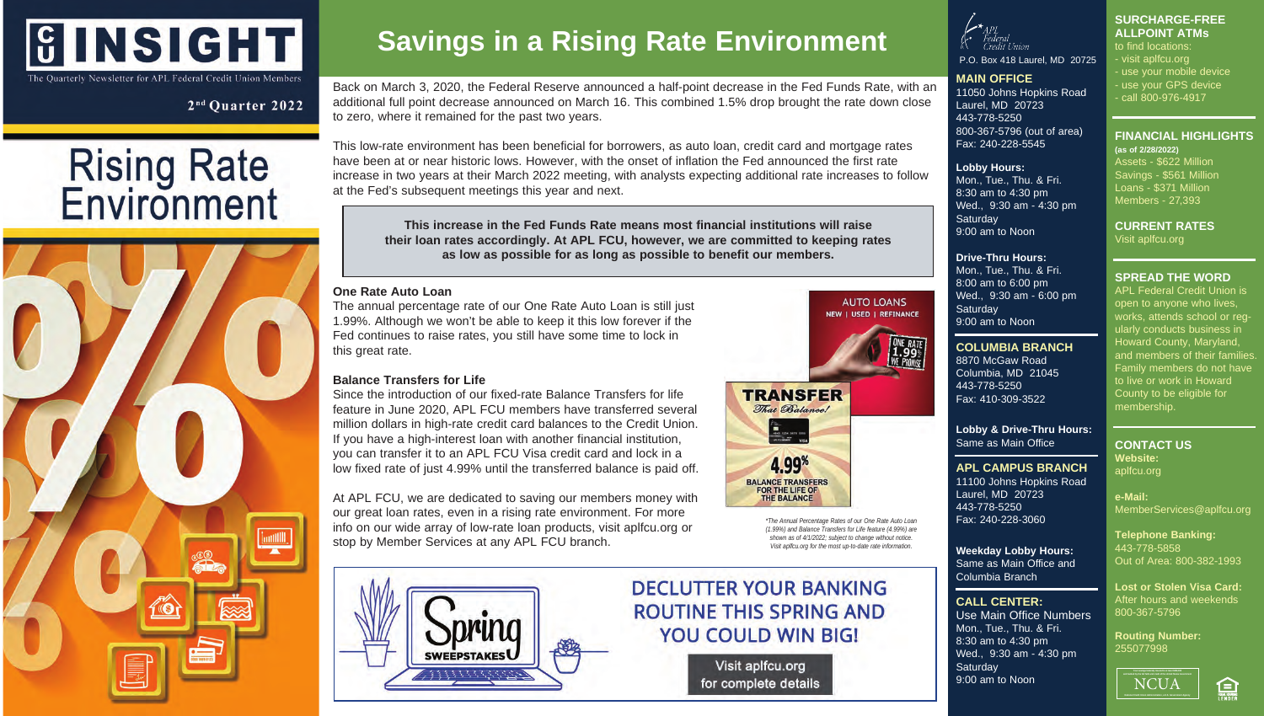## **GINSIGHT** The Quarterly Newsletter for APL Federal Credit Union Members

2<sup>nd</sup> Ouarter 2022

# **Rising Rate**<br>**Environment**



## **Savings in a Rising Rate Environment**

Back on March 3, 2020, the Federal Reserve announced a half-point decrease in the Fed Funds Rate, with an additional full point decrease announced on March 16. This combined 1.5% drop brought the rate down close to zero, where it remained for the past two years.

This low-rate environment has been beneficial for borrowers, as auto loan, credit card and mortgage rates have been at or near historic lows. However, with the onset of inflation the Fed announced the first rate increase in two years at their March 2022 meeting, with analysts expecting additional rate increases to follow at the Fed's subsequent meetings this year and next.

**This increase in the Fed Funds Rate means most financial institutions will raise their loan rates accordingly. At APL FCU, however, we are committed to keeping rates as low as possible for as long as possible to benefit our members.**

#### **One Rate Auto Loan**

The annual percentage rate of our One Rate Auto Loan is still just 1.99%. Although we won't be able to keep it this low forever if the Fed continues to raise rates, you still have some time to lock in this great rate.

#### **Balance Transfers for Life**

Since the introduction of our fixed-rate Balance Transfers for life feature in June 2020, APL FCU members have transferred several million dollars in high-rate credit card balances to the Credit Union. If you have a high-interest loan with another financial institution, you can transfer it to an APL FCU Visa credit card and lock in a low fixed rate of just 4.99% until the transferred balance is paid off.

At APL FCU, we are dedicated to saving our members money with our great loan rates, even in a rising rate environment. For more info on our wide array of low-rate loan products, visit aplfcu.org or stop by Member Services at any APL FCU branch.



### **DECLUTTER YOUR BANKING ROUTINE THIS SPRING AND YOU COULD WIN BIG!**

Visit aplfcu.org for complete details



#### P.O. Box 418 Laurel, MD 20725

**MAIN OFFICE** 11050 Johns Hopkins Road Laurel, MD 20723 443-778-5250 800-367-5796 (out of area)

Fax: 240-228-5545

#### **Lobby Hours:**

Mon., Tue., Thu. & Fri. 8:30 am to 4:30 pm Wed., 9:30 am - 4:30 pm **Saturday** 9:00 am to Noon

to find locations: - visit aplfcu.org - use your mobile device - use your GPS device - call 800-976-4917

**SURCHARGE-FREE ALLPOINT ATMs**

**FINANCIAL HIGHLIGHTS** 

**(as of 2/28/2022)** Assets - \$622 Million Savings - \$561 Million Loans - \$371 Million Members - 27,393

**CURRENT RATES**

Visit aplfcu.org

**SPREAD THE WORD** APL Federal Credit Union is open to anyone who lives, works, attends school or regularly conducts business in Howard County, Maryland, and members of their families. Family members do not have to live or work in Howard County to be eligible for

#### **Drive-Thru Hours:**

Mon., Tue., Thu. & Fri. 8:00 am to 6:00 pm Wed., 9:30 am - 6:00 pm **Saturday** 9:00 am to Noon

#### **COLUMBIA BRANCH**

8870 McGaw Road Columbia, MD 21045 443-778-5250 Fax: 410-309-3522

#### **Lobby & Drive-Thru Hours:** Same as Main Office

**APL CAMPUS BRANCH** 11100 Johns Hopkins Road Laurel, MD 20723 443-778-5250 Fax: 240-228-3060

Columbia Branch

**CALL CENTER:**

**Saturday** 9:00 am to Noon

Use Main Office Numbers Mon., Tue., Thu. & Fri. 8:30 am to 4:30 pm Wed., 9:30 am - 4:30 pm

**Weekday Lobby Hours:** Same as Main Office and **Telephone Banking:** 443-778-5858 Out of Area: 800-382-1993

**e-Mail:**

membership.

**CONTACT US Website:** aplfcu.org

**Lost or Stolen Visa Card:** After hours and weekends 800-367-5796

MemberServices@aplfcu.org

**Routing Number:** 255077998



Ε

**TRANSFER** That Balancel

4.99% **BALANCE TRANSFERS** FOR THE LIFE OF **THE BALANCE** 

> *\*The Annual Percentage Rates of our One Rate Auto Loan (1.99%) and Balance Transfers for Life feature (4.99%) are shown as of 4/1/2022; subject to change without notice. Visit aplfcu.org for the most up-to-date rate information.*

**AUTO LOANS NEW 1 USED 1 REFINANCE**